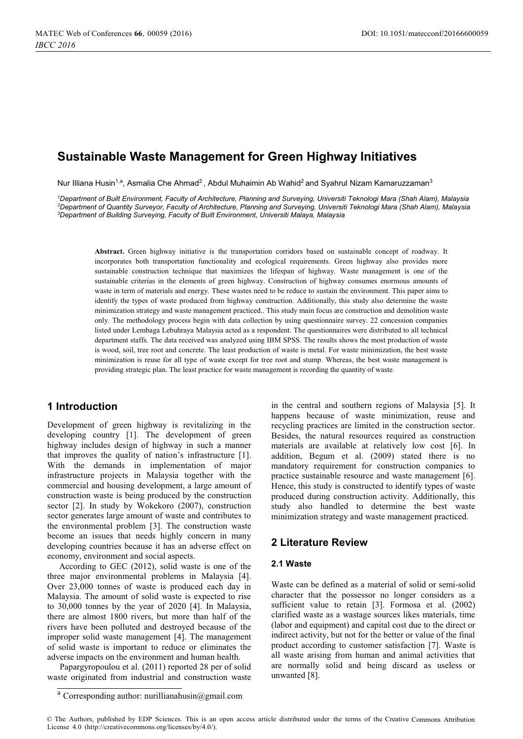# **Sustainable Waste Management for Green Highway Initiatives**

Nur Illiana Husin<sup>1,a</sup>, Asmalia Che Ahmad<sup>2</sup>, Abdul Muhaimin Ab Wahid<sup>2</sup> and Svahrul Nizam Kamaruzzaman<sup>3</sup>

*1 Department of Built Environment, Faculty of Architecture, Planning and Surveying, Universiti Teknologi Mara (Shah Alam), Malaysia 2 Department of Quantity Surveyor, Faculty of Architecture, Planning and Surveying, Universiti Teknologi Mara (Shah Alam), Malaysia 3 Department of Building Surveying, Faculty of Built Environment, Universiti Malaya, Malaysia* 

**Abstract.** Green highway initiative is the transportation corridors based on sustainable concept of roadway. It incorporates both transportation functionality and ecological requirements. Green highway also provides more sustainable construction technique that maximizes the lifespan of highway. Waste management is one of the sustainable criterias in the elements of green highway. Construction of highway consumes enormous amounts of waste in term of materials and energy. These wastes need to be reduce to sustain the environment. This paper aims to identify the types of waste produced from highway construction. Additionally, this study also determine the waste minimization strategy and waste management practiced.. This study main focus are construction and demolition waste only. The methodology process begin with data collection by using questionnaire survey. 22 concession companies listed under Lembaga Lebuhraya Malaysia acted as a respondent. The questionnaires were distributed to all technical department staffs. The data received was analyzed using IBM SPSS. The results shows the most production of waste is wood, soil, tree root and concrete. The least production of waste is metal. For waste minimization, the best waste minimization is reuse for all type of waste except for tree root and stump. Whereas, the best waste management is providing strategic plan. The least practice for waste management is recording the quantity of waste.

### **1 Introduction**

Development of green highway is revitalizing in the developing country [1]. The development of green highway includes design of highway in such a manner that improves the quality of nation's infrastructure [1]. With the demands in implementation of major infrastructure projects in Malaysia together with the commercial and housing development, a large amount of construction waste is being produced by the construction sector [2]. In study by Wokekoro (2007), construction sector generates large amount of waste and contributes to the environmental problem [3]. The construction waste become an issues that needs highly concern in many developing countries because it has an adverse effect on economy, environment and social aspects.

According to GEC (2012), solid waste is one of the three major environmental problems in Malaysia [4]. Over 23,000 tonnes of waste is produced each day in Malaysia. The amount of solid waste is expected to rise to 30,000 tonnes by the year of 2020 [4]. In Malaysia, there are almost 1800 rivers, but more than half of the rivers have been polluted and destroyed because of the improper solid waste management [4]. The management of solid waste is important to reduce or eliminates the adverse impacts on the environment and human health.

Papargyropoulou et al. (2011) reported 28 per of solid waste originated from industrial and construction waste

in the central and southern regions of Malaysia [5]. It happens because of waste minimization, reuse and recycling practices are limited in the construction sector. Besides, the natural resources required as construction materials are available at relatively low cost [6]. In addition, Begum et al. (2009) stated there is no mandatory requirement for construction companies to practice sustainable resource and waste management [6]. Hence, this study is constructed to identify types of waste produced during construction activity. Additionally, this study also handled to determine the best waste minimization strategy and waste management practiced.

## **2 Literature Review**

#### **2.1 Waste**

Waste can be defined as a material of solid or semi-solid character that the possessor no longer considers as a sufficient value to retain [3]. Formosa et al. (2002) clarified waste as a wastage sources likes materials, time (labor and equipment) and capital cost due to the direct or indirect activity, but not for the better or value of the final product according to customer satisfaction [7]. Waste is all waste arising from human and animal activities that are normally solid and being discard as useless or unwanted [8].

<sup>&</sup>lt;sup>a</sup> Corresponding author: [nurillianahusin@gmail.com](mailto:nurillianahusin@gmail.com)

<sup>©</sup> The Authors, published by EDP Sciences. This is an open access article distributed under the terms of the Creative Commons Attribution License 4.0 [\(http://creativecommons.org/licenses/by/4.0/\).](http://creativecommons.org/licenses/by/4.0/)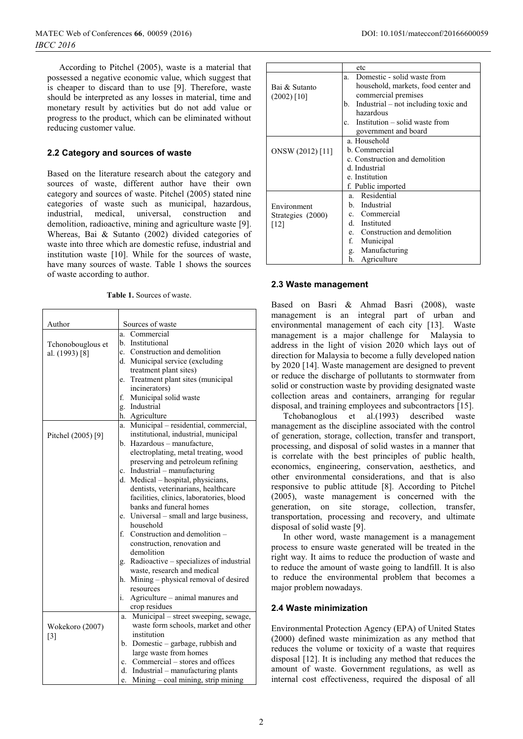According to Pitchel (2005), waste is a material that possessed a negative economic value, which suggest that is cheaper to discard than to use [9]. Therefore, waste should be interpreted as any losses in material, time and monetary result by activities but do not add value or progress to the product, which can be eliminated without reducing customer value.

### **2.2 Category and sources of waste**

Based on the literature research about the category and sources of waste, different author have their own category and sources of waste. Pitchel (2005) stated nine categories of waste such as municipal, hazardous, industrial, medical, universal, construction and demolition, radioactive, mining and agriculture waste [9]. Whereas, Bai & Sutanto (2002) divided categories of waste into three which are domestic refuse, industrial and institution waste [10]. While for the sources of waste, have many sources of waste. Table 1 shows the sources of waste according to author.

**Table 1.** Sources of waste.

| Author             | Sources of waste                               |
|--------------------|------------------------------------------------|
|                    | Commercial<br>a.                               |
| Tchonobouglous et  | b. Institutional                               |
| al. (1993) [8]     | c. Construction and demolition                 |
|                    | d. Municipal service (excluding                |
|                    | treatment plant sites)                         |
|                    | Treatment plant sites (municipal<br>e.         |
|                    | incinerators)                                  |
|                    | f.<br>Municipal solid waste                    |
|                    | g. Industrial                                  |
|                    | h. Agriculture                                 |
|                    | a. Municipal - residential, commercial,        |
| Pitchel (2005) [9] | institutional, industrial, municipal           |
|                    | b. Hazardous - manufacture,                    |
|                    | electroplating, metal treating, wood           |
|                    | preserving and petroleum refining              |
|                    | c. Industrial $-$ manufacturing                |
|                    | d. Medical - hospital, physicians,             |
|                    | dentists, veterinarians, healthcare            |
|                    | facilities, clinics, laboratories, blood       |
|                    | banks and funeral homes                        |
|                    | e. Universal - small and large business,       |
|                    | household                                      |
|                    | Construction and demolition –<br>f.            |
|                    | construction, renovation and                   |
|                    | demolition                                     |
|                    | g. Radioactive – specializes of industrial     |
|                    | waste, research and medical                    |
|                    | h. Mining – physical removal of desired        |
|                    | resources                                      |
|                    | i.<br>Agriculture – animal manures and         |
|                    | crop residues                                  |
|                    | Municipal - street sweeping, sewage,<br>a.     |
| Wokekoro (2007)    | waste form schools, market and other           |
| $\lceil 3 \rceil$  | institution                                    |
|                    | b.<br>Domestic – garbage, rubbish and          |
|                    | large waste from homes                         |
|                    | Commercial – stores and offices<br>$c_{\cdot}$ |
|                    | d.<br>Industrial – manufacturing plants        |
|                    | Mining - coal mining, strip mining<br>e.       |

|                   | etc                                          |
|-------------------|----------------------------------------------|
|                   | Domestic - solid waste from<br>a.            |
| Bai & Sutanto     | household, markets, food center and          |
| $(2002)$ [10]     | commercial premises                          |
|                   | Industrial $-$ not including toxic and<br>b. |
|                   | hazardous                                    |
|                   | c. Institution – solid waste from            |
|                   | government and board                         |
|                   | a. Household                                 |
| ONSW (2012) [11]  | b. Commercial                                |
|                   | c. Construction and demolition               |
|                   | d. Industrial                                |
|                   | e. Institution                               |
|                   | f. Public imported                           |
|                   | Residential<br>a.                            |
| Environment       | b. Industrial                                |
| Strategies (2000) | c. Commercial                                |
| [12]              | d.<br>Instituted                             |
|                   | Construction and demolition<br>e.            |
|                   | f.<br>Municipal                              |
|                   | Manufacturing<br>g.                          |
|                   | h.<br>Agriculture                            |

#### **2.3 Waste management**

Based on Basri & Ahmad Basri (2008), waste management is an integral part of urban and environmental management of each city [13]. Waste management is a major challenge for Malaysia to address in the light of vision 2020 which lays out of direction for Malaysia to become a fully developed nation by 2020 [14]. Waste management are designed to prevent or reduce the discharge of pollutants to stormwater from solid or construction waste by providing designated waste collection areas and containers, arranging for regular disposal, and training employees and subcontractors [15].

Tchobanoglous et al.(1993) described waste management as the discipline associated with the control of generation, storage, collection, transfer and transport, processing, and disposal of solid wastes in a manner that is correlate with the best principles of public health, economics, engineering, conservation, aesthetics, and other environmental considerations, and that is also responsive to public attitude [8]. According to Pitchel (2005), waste management is concerned with the generation, on site storage, collection, transfer, transportation, processing and recovery, and ultimate disposal of solid waste [9].

In other word, waste management is a management process to ensure waste generated will be treated in the right way. It aims to reduce the production of waste and to reduce the amount of waste going to landfill. It is also to reduce the environmental problem that becomes a major problem nowadays.

#### **2.4 Waste minimization**

Environmental Protection Agency (EPA) of United States (2000) defined waste minimization as any method that reduces the volume or toxicity of a waste that requires disposal [12]. It is including any method that reduces the amount of waste. Government regulations, as well as internal cost effectiveness, required the disposal of all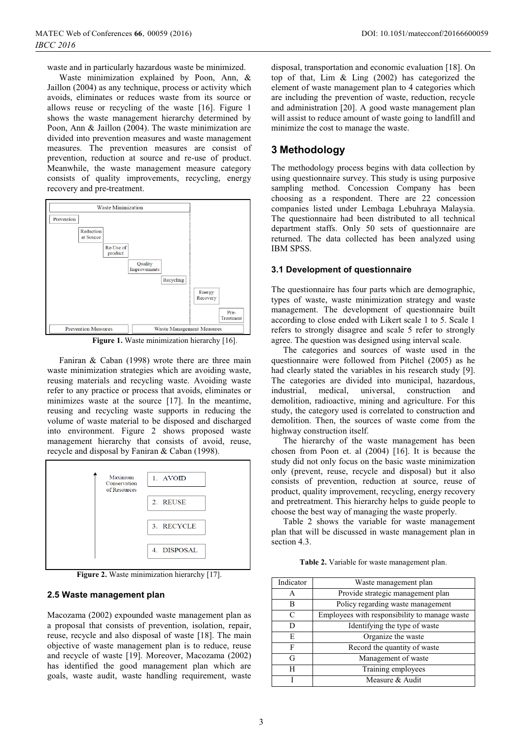waste and in particularly hazardous waste be minimized.

Waste minimization explained by Poon, Ann, & Jaillon (2004) as any technique, process or activity which avoids, eliminates or reduces waste from its source or allows reuse or recycling of the waste [16]. Figure 1 shows the waste management hierarchy determined by Poon, Ann & Jaillon (2004). The waste minimization are divided into prevention measures and waste management measures. The prevention measures are consist of prevention, reduction at source and re-use of product. Meanwhile, the waste management measure category consists of quality improvements, recycling, energy recovery and pre-treatment.



**Figure 1.** Waste minimization hierarchy [16].

Faniran & Caban (1998) wrote there are three main waste minimization strategies which are avoiding waste, reusing materials and recycling waste. Avoiding waste refer to any practice or process that avoids, eliminates or minimizes waste at the source [17]. In the meantime, reusing and recycling waste supports in reducing the volume of waste material to be disposed and discharged into environment. Figure 2 shows proposed waste management hierarchy that consists of avoid, reuse, recycle and disposal by Faniran & Caban (1998).



**Figure 2.** Waste minimization hierarchy [17].

#### **2.5 Waste management plan**

Macozama (2002) expounded waste management plan as a proposal that consists of prevention, isolation, repair, reuse, recycle and also disposal of waste [18]. The main objective of waste management plan is to reduce, reuse and recycle of waste [19]. Moreover, Macozama (2002) has identified the good management plan which are goals, waste audit, waste handling requirement, waste

disposal, transportation and economic evaluation [18]. On top of that, Lim & Ling (2002) has categorized the element of waste management plan to 4 categories which are including the prevention of waste, reduction, recycle and administration [20]. A good waste management plan will assist to reduce amount of waste going to landfill and minimize the cost to manage the waste.

### **3 Methodology**

The methodology process begins with data collection by using questionnaire survey. This study is using purposive sampling method. Concession Company has been choosing as a respondent. There are 22 concession companies listed under Lembaga Lebuhraya Malaysia. The questionnaire had been distributed to all technical department staffs. Only 50 sets of questionnaire are returned. The data collected has been analyzed using IBM SPSS.

#### **3.1 Development of questionnaire**

The questionnaire has four parts which are demographic, types of waste, waste minimization strategy and waste management. The development of questionnaire built according to close ended with Likert scale 1 to 5. Scale 1 refers to strongly disagree and scale 5 refer to strongly agree. The question was designed using interval scale.

The categories and sources of waste used in the questionnaire were followed from Pitchel (2005) as he had clearly stated the variables in his research study [9]. The categories are divided into municipal, hazardous, industrial, medical, universal, construction and demolition, radioactive, mining and agriculture. For this study, the category used is correlated to construction and demolition. Then, the sources of waste come from the highway construction itself.

The hierarchy of the waste management has been chosen from Poon et. al (2004) [16]. It is because the study did not only focus on the basic waste minimization only (prevent, reuse, recycle and disposal) but it also consists of prevention, reduction at source, reuse of product, quality improvement, recycling, energy recovery and pretreatment. This hierarchy helps to guide people to choose the best way of managing the waste properly.

Table 2 shows the variable for waste management plan that will be discussed in waste management plan in section 4.3.

**Table 2.** Variable for waste management plan.

| Indicator | Waste management plan                         |
|-----------|-----------------------------------------------|
|           | Provide strategic management plan             |
| в         | Policy regarding waste management             |
|           | Employees with responsibility to manage waste |
|           | Identifying the type of waste                 |
| E         | Organize the waste                            |
| F         | Record the quantity of waste                  |
| G         | Management of waste                           |
|           | Training employees                            |
|           | Measure & Audit                               |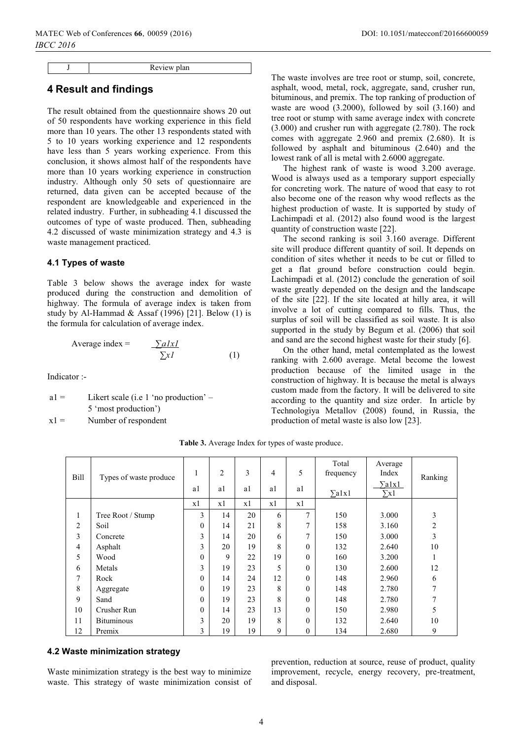Review plan

## **4 Result and findings**

The result obtained from the questionnaire shows 20 out of 50 respondents have working experience in this field more than 10 years. The other 13 respondents stated with 5 to 10 years working experience and 12 respondents have less than 5 years working experience. From this conclusion, it shows almost half of the respondents have more than 10 years working experience in construction industry. Although only 50 sets of questionnaire are returned, data given can be accepted because of the respondent are knowledgeable and experienced in the related industry. Further, in subheading 4.1 discussed the outcomes of type of waste produced. Then, subheading 4.2 discussed of waste minimization strategy and 4.3 is waste management practiced.

#### **4.1 Types of waste**

Table 3 below shows the average index for waste produced during the construction and demolition of highway. The formula of average index is taken from study by Al-Hammad & Assaf (1996) [21]. Below (1) is the formula for calculation of average index.

Average index = 
$$
\frac{\sum a l x l}{\sum x l}
$$
 (1)

Indicator :-

 $a1 =$  Likert scale (i.e 1 'no production' – 5 'most production')

 $x1 =$  Number of respondent

The waste involves are tree root or stump, soil, concrete, asphalt, wood, metal, rock, aggregate, sand, crusher run, bituminous, and premix. The top ranking of production of waste are wood (3.2000), followed by soil (3.160) and tree root or stump with same average index with concrete (3.000) and crusher run with aggregate (2.780). The rock comes with aggregate 2.960 and premix (2.680). It is followed by asphalt and bituminous (2.640) and the lowest rank of all is metal with 2.6000 aggregate.

The highest rank of waste is wood 3.200 average. Wood is always used as a temporary support especially for concreting work. The nature of wood that easy to rot also become one of the reason why wood reflects as the highest production of waste. It is supported by study of Lachimpadi et al. (2012) also found wood is the largest quantity of construction waste [22].

The second ranking is soil 3.160 average. Different site will produce different quantity of soil. It depends on condition of sites whether it needs to be cut or filled to get a flat ground before construction could begin. Lachimpadi et al. (2012) conclude the generation of soil waste greatly depended on the design and the landscape of the site [22]. If the site located at hilly area, it will involve a lot of cutting compared to fills. Thus, the surplus of soil will be classified as soil waste. It is also supported in the study by Begum et al. (2006) that soil and sand are the second highest waste for their study [6].

On the other hand, metal contemplated as the lowest ranking with 2.600 average. Metal become the lowest production because of the limited usage in the construction of highway. It is because the metal is always custom made from the factory. It will be delivered to site according to the quantity and size order. In article by Technologiya Metallov (2008) found, in Russia, the production of metal waste is also low [23].

| Bill<br>Types of waste produce |                   | 1        | 2  | 3   | $\overline{4}$ | 5                | Total<br>frequency | Average<br>Index             | Ranking        |
|--------------------------------|-------------------|----------|----|-----|----------------|------------------|--------------------|------------------------------|----------------|
|                                |                   | a1       | a1 | a1  | a1             | a1               | $\Sigma$ alxl      | $\Sigma$ alxl<br>$\Sigma x1$ |                |
|                                |                   | x1       | x1 | x1  | x1             | x1               |                    |                              |                |
| 1                              | Tree Root / Stump | 3        | 14 | 20  | 6              | 7                | 150                | 3.000                        | 3              |
| 2                              | Soil              | $\theta$ | 14 | 2.1 | 8              | 7                | 158                | 3.160                        | $\overline{2}$ |
| 3                              | Concrete          | 3        | 14 | 20  | 6              | 7                | 150                | 3.000                        | 3              |
| $\overline{4}$                 | Asphalt           | 3        | 20 | 19  | 8              | $\theta$         | 132                | 2.640                        | 10             |
| 5                              | Wood              | $\Omega$ | 9  | 22  | 19             | $\theta$         | 160                | 3.200                        | 1              |
| 6                              | Metals            | 3        | 19 | 23  | 5              | $\theta$         | 130                | 2.600                        | 12             |
| 7                              | Rock              | $\theta$ | 14 | 24  | 12             | $\boldsymbol{0}$ | 148                | 2.960                        | 6              |
| 8                              | Aggregate         | $\theta$ | 19 | 23  | 8              | $\theta$         | 148                | 2.780                        | 7              |
| 9                              | Sand              | $\theta$ | 19 | 23  | 8              | $\Omega$         | 148                | 2.780                        | 7              |
| 10                             | Crusher Run       | $\theta$ | 14 | 23  | 13             | $\theta$         | 150                | 2.980                        | 5              |
| 11                             | <b>Bituminous</b> | 3        | 20 | 19  | 8              | $\theta$         | 132                | 2.640                        | 10             |
| 12                             | Premix            | 3        | 19 | 19  | 9              | $\mathbf{0}$     | 134                | 2.680                        | 9              |

**Table 3.** Average Index for types of waste produce.

#### **4.2 Waste minimization strategy**

Waste minimization strategy is the best way to minimize waste. This strategy of waste minimization consist of prevention, reduction at source, reuse of product, quality improvement, recycle, energy recovery, pre-treatment, and disposal.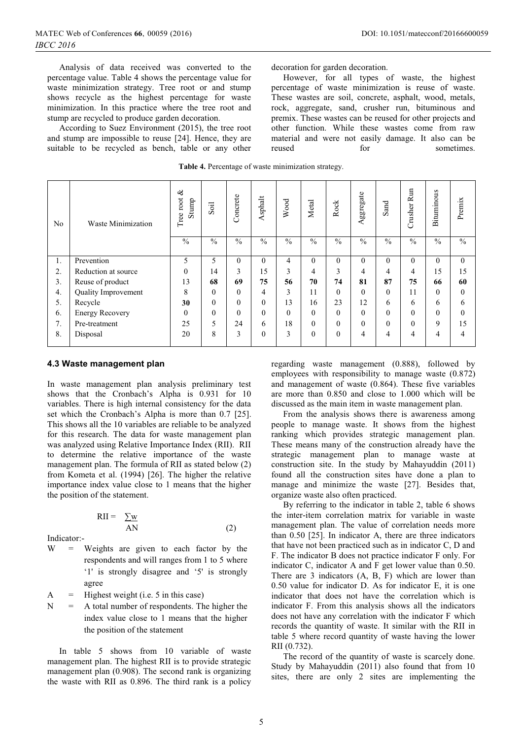Analysis of data received was converted to the percentage value. Table 4 shows the percentage value for waste minimization strategy. Tree root or and stump shows recycle as the highest percentage for waste minimization. In this practice where the tree root and stump are recycled to produce garden decoration.

According to Suez Environment (2015), the tree root and stump are impossible to reuse [24]. Hence, they are suitable to be recycled as bench, table or any other decoration for garden decoration.

However, for all types of waste, the highest percentage of waste minimization is reuse of waste. These wastes are soil, concrete, asphalt, wood, metals, rock, aggregate, sand, crusher run, bituminous and premix. These wastes can be reused for other projects and other function. While these wastes come from raw material and were not easily damage. It also can be reused for sometimes

|  | Table 4. Percentage of waste minimization strategy. |  |
|--|-----------------------------------------------------|--|
|  |                                                     |  |

| N <sub>0</sub> | <b>Waste Minimization</b> | ళ<br>Tree root<br>Stump | Soil          | Concrete      | Asphalt  | Wood          | Metal         | Rock     | Aggregate     | Sand          | <b>Run</b><br>Crusher | Bituminous    | Premix        |
|----------------|---------------------------|-------------------------|---------------|---------------|----------|---------------|---------------|----------|---------------|---------------|-----------------------|---------------|---------------|
|                |                           | $\frac{0}{0}$           | $\frac{0}{0}$ | $\frac{0}{0}$ | $\%$     | $\frac{0}{0}$ | $\frac{0}{0}$ | $\%$     | $\frac{0}{0}$ | $\frac{0}{0}$ | $\frac{0}{0}$         | $\frac{0}{0}$ | $\frac{0}{0}$ |
| 1.             | Prevention                | 5                       | 5             | $\Omega$      | $\Omega$ | 4             | $\theta$      | $\Omega$ | $\Omega$      | $\Omega$      | $\Omega$              | $\Omega$      | $\theta$      |
| 2.             | Reduction at source       | $\overline{0}$          | 14            | 3             | 15       | 3             | 4             | 3        | 4             | 4             | 4                     | 15            | 15            |
| 3.             | Reuse of product          | 13                      | 68            | 69            | 75       | 56            | 70            | 74       | 81            | 87            | 75                    | 66            | 60            |
| 4.             | Quality Improvement       | 8                       | $\Omega$      | $\theta$      | 4        | 3             | 11            | $\Omega$ | $\Omega$      | $\Omega$      | 11                    | $\theta$      | $\theta$      |
| 5.             | Recycle                   | 30                      | $\Omega$      | $\Omega$      | $\theta$ | 13            | 16            | 23       | 12            | 6             | 6                     | 6             | 6             |
| 6.             | <b>Energy Recovery</b>    | $\mathbf{0}$            | $\theta$      | $\Omega$      | $\theta$ | $\theta$      | $\mathbf{0}$  | $\theta$ | $\Omega$      | $\theta$      | $\theta$              | $\mathbf{0}$  | $\mathbf{0}$  |
| 7.             | Pre-treatment             | 25                      | 5             | 24            | 6        | 18            | $\mathbf{0}$  | $\theta$ | $\Omega$      | $\theta$      | $\theta$              | 9             | 15            |
| 8.             | Disposal                  | 20                      | 8             | 3             | $\theta$ | 3             | $\theta$      | $\Omega$ | 4             | 4             | 4                     | 4             | 4             |

#### **4.3 Waste management plan**

In waste management plan analysis preliminary test shows that the Cronbach's Alpha is 0.931 for 10 variables. There is high internal consistency for the data set which the Cronbach's Alpha is more than 0.7 [25]. This shows all the 10 variables are reliable to be analyzed for this research. The data for waste management plan was analyzed using Relative Importance Index (RII). RII to determine the relative importance of the waste management plan. The formula of RII as stated below (2) from Kometa et al. (1994) [26]. The higher the relative importance index value close to 1 means that the higher the position of the statement.

$$
RII = \sum_{AN} W
$$
 (2)

Indicator:-

W = Weights are given to each factor by the respondents and will ranges from 1 to 5 where '1' is strongly disagree and '5' is strongly agree

 $A =$  Highest weight (i.e. 5 in this case)

 $N = A$  total number of respondents. The higher the index value close to 1 means that the higher the position of the statement

In table 5 shows from 10 variable of waste management plan. The highest RII is to provide strategic management plan (0.908). The second rank is organizing the waste with RII as 0.896. The third rank is a policy

regarding waste management (0.888), followed by employees with responsibility to manage waste (0.872) and management of waste (0.864). These five variables are more than 0.850 and close to 1.000 which will be discussed as the main item in waste management plan.

From the analysis shows there is awareness among people to manage waste. It shows from the highest ranking which provides strategic management plan. These means many of the construction already have the strategic management plan to manage waste at construction site. In the study by Mahayuddin (2011) found all the construction sites have done a plan to manage and minimize the waste [27]. Besides that, organize waste also often practiced.

By referring to the indicator in table 2, table 6 shows the inter-item correlation matrix for variable in waste management plan. The value of correlation needs more than 0.50 [25]. In indicator A, there are three indicators that have not been practiced such as in indicator C, D and F. The indicator B does not practice indicator F only. For indicator C, indicator A and F get lower value than 0.50. There are 3 indicators (A, B, F) which are lower than 0.50 value for indicator D. As for indicator E, it is one indicator that does not have the correlation which is indicator F. From this analysis shows all the indicators does not have any correlation with the indicator F which records the quantity of waste. It similar with the RII in table 5 where record quantity of waste having the lower RII (0.732).

 The record of the quantity of waste is scarcely done. Study by Mahayuddin (2011) also found that from 10 sites, there are only 2 sites are implementing the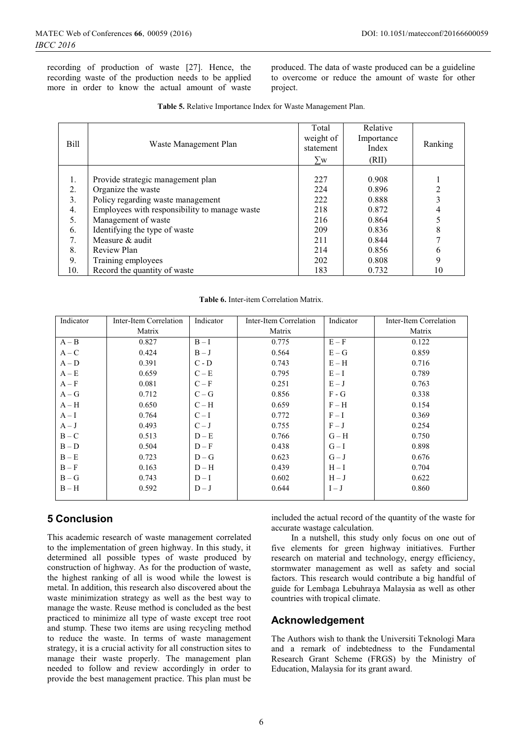recording of production of waste [27]. Hence, the recording waste of the production needs to be applied more in order to know the actual amount of waste produced. The data of waste produced can be a guideline to overcome or reduce the amount of waste for other project.

| Bill | Waste Management Plan                         | Total<br>weight of<br>statement<br>$\Sigma$ w | Relative<br>Importance<br>Index<br>(RII) | Ranking |
|------|-----------------------------------------------|-----------------------------------------------|------------------------------------------|---------|
|      |                                               |                                               |                                          |         |
| 1.   | Provide strategic management plan             | 227                                           | 0.908                                    |         |
| 2.   | Organize the waste                            | 224                                           | 0.896                                    | 2       |
| 3.   | Policy regarding waste management             | 222                                           | 0.888                                    | 3       |
| 4.   | Employees with responsibility to manage waste | 218                                           | 0.872                                    | 4       |
| 5.   | Management of waste                           | 216                                           | 0.864                                    |         |
| 6.   | Identifying the type of waste                 | 209                                           | 0.836                                    | 8       |
| 7.   | Measure & audit                               | 211                                           | 0.844                                    |         |
| 8.   | Review Plan                                   | 214                                           | 0.856                                    | 6       |
| 9.   | Training employees                            | 202                                           | 0.808                                    | 9       |
| 10.  | Record the quantity of waste                  | 183                                           | 0.732                                    | 10      |

|  |  | Table 5. Relative Importance Index for Waste Management Plan. |  |
|--|--|---------------------------------------------------------------|--|
|  |  |                                                               |  |

**Table 6.** Inter-item Correlation Matrix.

| Indicator | Inter-Item Correlation | Indicator | Inter-Item Correlation | Indicator | Inter-Item Correlation |
|-----------|------------------------|-----------|------------------------|-----------|------------------------|
|           | Matrix                 |           | Matrix                 |           | Matrix                 |
| $A - B$   | 0.827                  | $B-I$     | 0.775                  | $E - F$   | 0.122                  |
| $A - C$   | 0.424                  | $B - J$   | 0.564                  | $E - G$   | 0.859                  |
| $A - D$   | 0.391                  | $C - D$   | 0.743                  | $E-H$     | 0.716                  |
| $A - E$   | 0.659                  | $C - E$   | 0.795                  | $E - I$   | 0.789                  |
| $A - F$   | 0.081                  | $C - F$   | 0.251                  | $E - J$   | 0.763                  |
| $A - G$   | 0.712                  | $C - G$   | 0.856                  | $F - G$   | 0.338                  |
| $A - H$   | 0.650                  | $C-H$     | 0.659                  | $F-H$     | 0.154                  |
| $A - I$   | 0.764                  | $C-I$     | 0.772                  | $F-I$     | 0.369                  |
| $A - J$   | 0.493                  | $C-J$     | 0.755                  | $F - J$   | 0.254                  |
| $B - C$   | 0.513                  | $D - E$   | 0.766                  | $G-H$     | 0.750                  |
| $B - D$   | 0.504                  | $D - F$   | 0.438                  | $G-I$     | 0.898                  |
| $B - E$   | 0.723                  | $D - G$   | 0.623                  | $G-J$     | 0.676                  |
| $B - F$   | 0.163                  | $D-H$     | 0.439                  | $H-I$     | 0.704                  |
| $B-G$     | 0.743                  | $D-I$     | 0.602                  | $H-J$     | 0.622                  |
| $B-H$     | 0.592                  | $D-J$     | 0.644                  | $I-J$     | 0.860                  |

## **5 Conclusion**

This academic research of waste management correlated to the implementation of green highway. In this study, it determined all possible types of waste produced by construction of highway. As for the production of waste, the highest ranking of all is wood while the lowest is metal. In addition, this research also discovered about the waste minimization strategy as well as the best way to manage the waste. Reuse method is concluded as the best practiced to minimize all type of waste except tree root and stump. These two items are using recycling method to reduce the waste. In terms of waste management strategy, it is a crucial activity for all construction sites to manage their waste properly. The management plan needed to follow and review accordingly in order to provide the best management practice. This plan must be

included the actual record of the quantity of the waste for accurate wastage calculation.

In a nutshell, this study only focus on one out of five elements for green highway initiatives. Further research on material and technology, energy efficiency, stormwater management as well as safety and social factors. This research would contribute a big handful of guide for Lembaga Lebuhraya Malaysia as well as other countries with tropical climate.

## **Acknowledgement**

The Authors wish to thank the Universiti Teknologi Mara and a remark of indebtedness to the Fundamental Research Grant Scheme (FRGS) by the Ministry of Education, Malaysia for its grant award.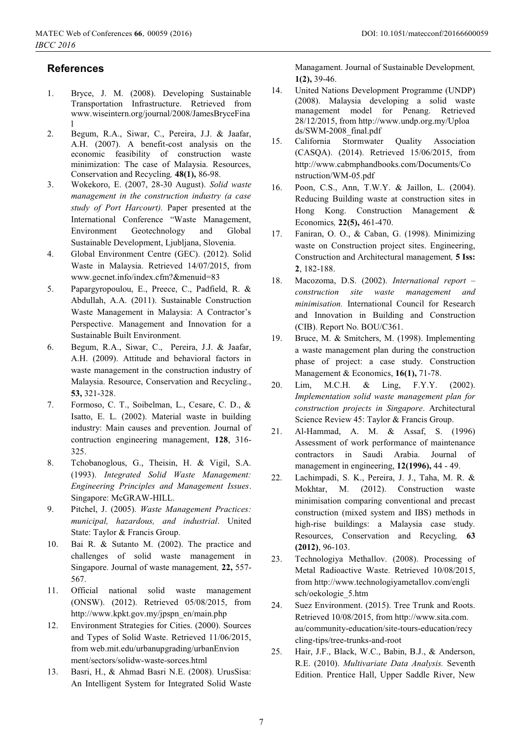## **References**

- 1. Bryce, J. M. (2008). Developing Sustainable Transportation Infrastructure. Retrieved from www.wiseintern.org/journal/2008/JamesBryceFina l
- 2. Begum, R.A., Siwar, C., Pereira, J.J. & Jaafar, A.H. (2007). A benefit-cost analysis on the economic feasibility of construction waste minimization: The case of Malaysia. Resources, Conservation and Recycling*,* **48(1),** 86-98.
- 3. Wokekoro, E. (2007, 28-30 August). *Solid waste management in the construction industry (a case study of Port Harcourt).* Paper presented at the International Conference "Waste Management, Environment Geotechnology and Global Sustainable Development, Ljubljana, Slovenia.
- 4. Global Environment Centre (GEC). (2012). Solid Waste in Malaysia. Retrieved 14/07/2015, from www.gecnet.info/index.cfm?&menuid=83
- 5. Papargyropoulou, E., Preece, C., Padfield, R. & Abdullah, A.A. (2011). Sustainable Construction Waste Management in Malaysia: A Contractor's Perspective. Management and Innovation for a Sustainable Built Environment*.*
- 6. Begum, R.A., Siwar, C., Pereira, J.J. & Jaafar, A.H. (2009). Attitude and behavioral factors in waste management in the construction industry of Malaysia. Resource, Conservation and Recycling., **53,** 321-328.
- 7. Formoso, C. T., Soibelman, L., Cesare, C. D., & Isatto, E. L. (2002). Material waste in building industry: Main causes and prevention. Journal of contruction engineering management, **128**, 316- 325.
- 8. Tchobanoglous, G., Theisin, H. & Vigil, S.A. (1993). *Integrated Solid Waste Management: Engineering Principles and Management Issues*. Singapore: McGRAW-HILL.
- 9. Pitchel, J. (2005). *Waste Management Practices: municipal, hazardous, and industrial*. United State: Taylor & Francis Group.
- 10. Bai R. & Sutanto M. (2002). The practice and challenges of solid waste management in Singapore. Journal of waste management*,* **22,** 557- 567.
- 11. Official national solid waste management (ONSW). (2012). Retrieved 05/08/2015, from http://www.kpkt.gov.my/jpspn\_en/main.php
- 12. Environment Strategies for Cities. (2000). Sources and Types of Solid Waste. Retrieved 11/06/2015, from web.mit.edu/urbanupgrading/urbanEnvion ment/sectors/solidw-waste-sorces.html
- 13. Basri, H., & Ahmad Basri N.E. (2008). UrusSisa: An Intelligent System for Integrated Solid Waste

Managament. Journal of Sustainable Development*,* **1(2),** 39-46.

- 14. United Nations Development Programme (UNDP) (2008). Malaysia developing a solid waste management model for Penang. Retrieved 28/12/2015, from http://www.undp.org.my/Uploa ds/SWM-2008\_final.pdf
- 15. California Stormwater Quality Association (CASQA). (2014). Retrieved 15/06/2015, from http://www.cabmphandbooks.com/Documents/Co nstruction/WM-05.pdf
- 16. Poon, C.S., Ann, T.W.Y. & Jaillon, L. (2004). Reducing Building waste at construction sites in Hong Kong. Construction Management & Economics*,* **22(5),** 461-470.
- 17. Faniran, O. O., & Caban, G. (1998). Minimizing waste on Construction project sites. Engineering, Construction and Architectural management*,* **5 Iss: 2**, 182-188.
- 18. Macozoma, D.S. (2002). *International report – construction site waste management and minimisation.* International Council for Research and Innovation in Building and Construction (CIB). Report No. BOU/C361.
- 19. Bruce, M. & Smitchers, M. (1998). Implementing a waste management plan during the construction phase of project: a case study. Construction Management & Economics, **16(1)**, 71-78.<br>Lim, M.C.H. & Ling, F.Y.Y.
- 20. Lim, M.C.H. & Ling, F.Y.Y. (2002). *Implementation solid waste management plan for construction projects in Singapore*. Architectural Science Review 45: Taylor & Francis Group.
- 21. Al-Hammad, A. M. & Assaf, S. (1996) Assessment of work performance of maintenance contractors in Saudi Arabia. Journal of management in engineering, **12(1996),** 44 - 49.
- 22. Lachimpadi, S. K., Pereira, J. J., Taha, M. R. & Mokhtar, M. (2012). Construction waste minimisation comparing conventional and precast construction (mixed system and IBS) methods in high-rise buildings: a Malaysia case study. Resources, Conservation and Recycling*,* **63 (2012)**, 96-103.
- 23. Technologiya Methallov. (2008). Processing of Metal Radioactive Waste. Retrieved 10/08/2015, from http://www.technologiyametallov.com/engli sch/oekologie\_5.htm
- 24. Suez Environment. (2015). Tree Trunk and Roots. Retrieved 10/08/2015, from http://www.sita.com. au/community-education/site-tours-education/recy cling-tips/tree-trunks-and-root
- 25. Hair, J.F., Black, W.C., Babin, B.J., & Anderson, R.E. (2010). *Multivariate Data Analysis.* Seventh Edition. Prentice Hall, Upper Saddle River, New